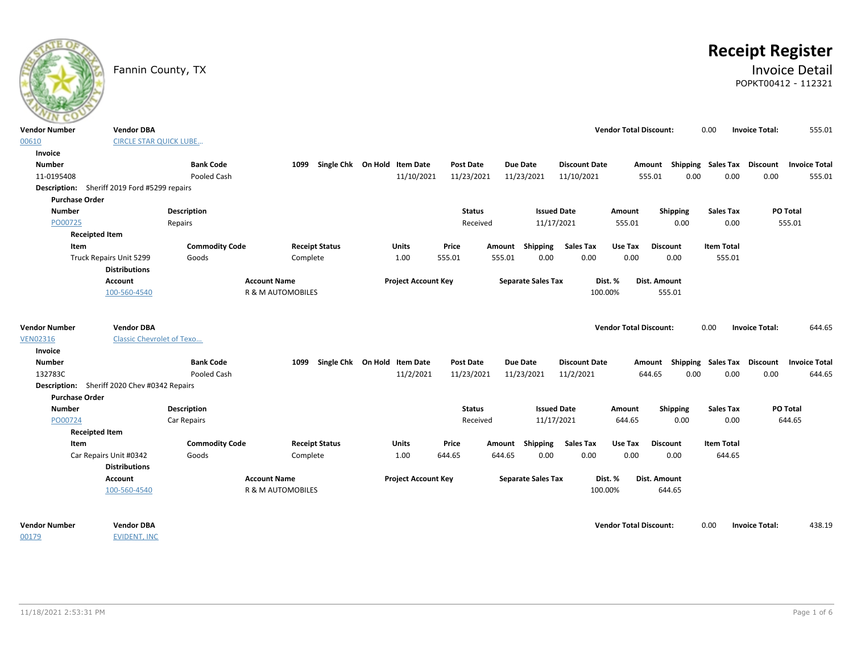|                                              | Fannin County, TX                |                       |                       |                              |                  |                           |                      |                               |                           |                   | <b>Receipt Register</b><br><b>Invoice Detail</b><br>POPKT00412 - 112321 |        |
|----------------------------------------------|----------------------------------|-----------------------|-----------------------|------------------------------|------------------|---------------------------|----------------------|-------------------------------|---------------------------|-------------------|-------------------------------------------------------------------------|--------|
| <b>Vendor Number</b>                         | <b>Vendor DBA</b>                |                       |                       |                              |                  |                           |                      | <b>Vendor Total Discount:</b> |                           | 0.00              | <b>Invoice Total:</b>                                                   | 555.01 |
| 00610                                        | <b>CIRCLE STAR QUICK LUBE</b>    |                       |                       |                              |                  |                           |                      |                               |                           |                   |                                                                         |        |
| Invoice                                      |                                  |                       |                       |                              |                  |                           |                      |                               |                           |                   |                                                                         |        |
| <b>Number</b>                                |                                  | <b>Bank Code</b>      | 1099                  | Single Chk On Hold Item Date | <b>Post Date</b> | <b>Due Date</b>           | <b>Discount Date</b> |                               | Amount Shipping Sales Tax |                   | Discount<br><b>Invoice Total</b>                                        |        |
| 11-0195408                                   |                                  | Pooled Cash           |                       | 11/10/2021                   | 11/23/2021       | 11/23/2021                | 11/10/2021           | 555.01                        | 0.00                      | 0.00              | 0.00                                                                    | 555.01 |
| Description: Sheriff 2019 Ford #5299 repairs |                                  |                       |                       |                              |                  |                           |                      |                               |                           |                   |                                                                         |        |
| <b>Purchase Order</b>                        |                                  |                       |                       |                              |                  |                           |                      |                               |                           |                   |                                                                         |        |
| <b>Number</b>                                |                                  | <b>Description</b>    |                       |                              | <b>Status</b>    |                           | <b>Issued Date</b>   | Amount                        | <b>Shipping</b>           | <b>Sales Tax</b>  | <b>PO Total</b>                                                         |        |
| PO00725                                      |                                  | Repairs               |                       |                              | Received         |                           | 11/17/2021           | 555.01                        | 0.00                      | 0.00              | 555.01                                                                  |        |
| <b>Receipted Item</b>                        |                                  |                       |                       |                              |                  |                           |                      |                               |                           |                   |                                                                         |        |
| Item                                         |                                  | <b>Commodity Code</b> | <b>Receipt Status</b> | <b>Units</b>                 | Price            | Amount Shipping           | <b>Sales Tax</b>     | Use Tax                       | <b>Discount</b>           | <b>Item Total</b> |                                                                         |        |
|                                              | Truck Repairs Unit 5299          | Goods                 | Complete              | 1.00                         | 555.01           | 555.01                    | 0.00<br>0.00         | 0.00                          | 0.00                      | 555.01            |                                                                         |        |
|                                              | <b>Distributions</b>             |                       |                       |                              |                  |                           |                      |                               |                           |                   |                                                                         |        |
|                                              | Account                          |                       | <b>Account Name</b>   | <b>Project Account Key</b>   |                  | <b>Separate Sales Tax</b> |                      | Dist. %                       | Dist. Amount              |                   |                                                                         |        |
|                                              | 100-560-4540                     |                       | R & M AUTOMOBILES     |                              |                  |                           |                      | 100.00%                       | 555.01                    |                   |                                                                         |        |
| <b>Vendor Number</b>                         | <b>Vendor DBA</b>                |                       |                       |                              |                  |                           |                      | <b>Vendor Total Discount:</b> |                           | 0.00              | <b>Invoice Total:</b>                                                   | 644.65 |
| <b>VEN02316</b>                              | <b>Classic Chevrolet of Texo</b> |                       |                       |                              |                  |                           |                      |                               |                           |                   |                                                                         |        |
| Invoice                                      |                                  |                       |                       |                              |                  |                           |                      |                               |                           |                   |                                                                         |        |
| <b>Number</b>                                |                                  | <b>Bank Code</b>      | 1099                  | Single Chk On Hold Item Date | <b>Post Date</b> | <b>Due Date</b>           | <b>Discount Date</b> | Amount                        | Shipping                  | Sales Tax         | <b>Discount</b><br><b>Invoice Total</b>                                 |        |
| 132783C                                      |                                  | Pooled Cash           |                       | 11/2/2021                    | 11/23/2021       | 11/23/2021                | 11/2/2021            | 644.65                        | 0.00                      | 0.00              | 0.00                                                                    | 644.65 |
| Description: Sheriff 2020 Chev #0342 Repairs |                                  |                       |                       |                              |                  |                           |                      |                               |                           |                   |                                                                         |        |
| <b>Purchase Order</b>                        |                                  |                       |                       |                              |                  |                           |                      |                               |                           |                   |                                                                         |        |
| <b>Number</b>                                |                                  | Description           |                       |                              | <b>Status</b>    |                           | <b>Issued Date</b>   | Amount                        | <b>Shipping</b>           | <b>Sales Tax</b>  | PO Total                                                                |        |
| PO00724                                      |                                  | Car Repairs           |                       |                              | Received         |                           | 11/17/2021           | 644.65                        | 0.00                      | 0.00              | 644.65                                                                  |        |
| <b>Receipted Item</b>                        |                                  |                       |                       |                              |                  |                           |                      |                               |                           |                   |                                                                         |        |
| Item                                         |                                  | <b>Commodity Code</b> | <b>Receipt Status</b> | <b>Units</b>                 | Price            | Shipping<br>Amount        | Sales Tax            | Use Tax                       | <b>Discount</b>           | <b>Item Total</b> |                                                                         |        |
|                                              | Car Repairs Unit #0342           | Goods                 | Complete              | 1.00                         | 644.65           | 644.65                    | 0.00<br>0.00         | 0.00                          | 0.00                      | 644.65            |                                                                         |        |
|                                              | <b>Distributions</b>             |                       |                       |                              |                  |                           |                      |                               |                           |                   |                                                                         |        |
|                                              | Account                          |                       | <b>Account Name</b>   | <b>Project Account Key</b>   |                  | <b>Separate Sales Tax</b> |                      | Dist. %                       | Dist. Amount              |                   |                                                                         |        |
|                                              | 100-560-4540                     |                       | R & M AUTOMOBILES     |                              |                  |                           |                      | 100.00%                       | 644.65                    |                   |                                                                         |        |
|                                              |                                  |                       |                       |                              |                  |                           |                      |                               |                           |                   |                                                                         |        |
| <b>Vendor Number</b>                         | <b>Vendor DBA</b>                |                       |                       |                              |                  |                           |                      | <b>Vendor Total Discount:</b> |                           | 0.00              | <b>Invoice Total:</b>                                                   | 438.19 |
| 00179                                        | <b>EVIDENT, INC</b>              |                       |                       |                              |                  |                           |                      |                               |                           |                   |                                                                         |        |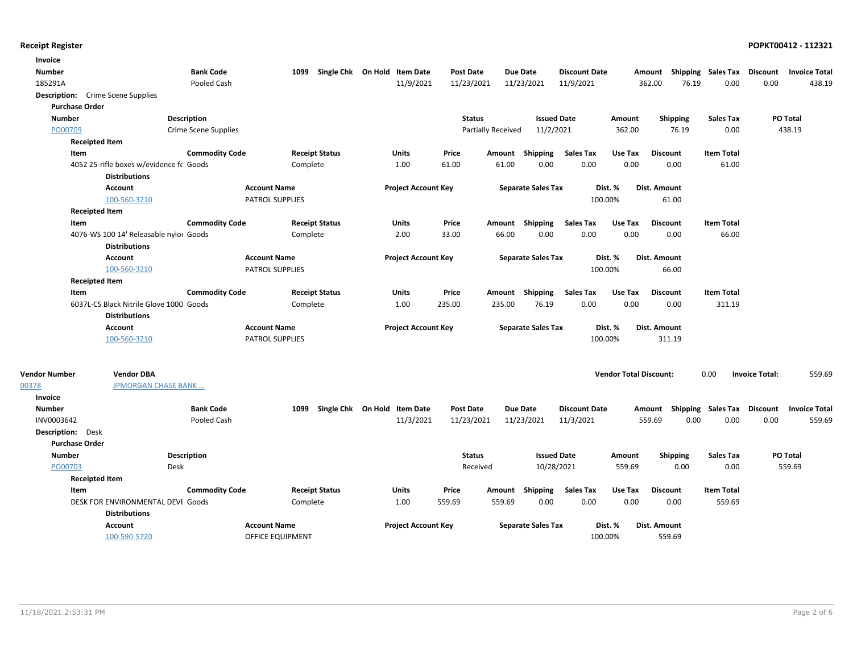| Invoice                                  |                                         |                       |                         |                       |                              |                  |                    |                           |                      |                               |                           |                           |                       |                      |
|------------------------------------------|-----------------------------------------|-----------------------|-------------------------|-----------------------|------------------------------|------------------|--------------------|---------------------------|----------------------|-------------------------------|---------------------------|---------------------------|-----------------------|----------------------|
| <b>Number</b>                            |                                         | <b>Bank Code</b>      | 1099                    |                       | Single Chk On Hold Item Date | <b>Post Date</b> | Due Date           |                           | <b>Discount Date</b> |                               | Amount Shipping Sales Tax |                           | Discount              | <b>Invoice Total</b> |
| 185291A                                  |                                         | Pooled Cash           |                         |                       | 11/9/2021                    | 11/23/2021       | 11/23/2021         |                           | 11/9/2021            |                               | 362.00<br>76.19           | 0.00                      | 0.00                  | 438.19               |
| <b>Description:</b> Crime Scene Supplies |                                         |                       |                         |                       |                              |                  |                    |                           |                      |                               |                           |                           |                       |                      |
| <b>Purchase Order</b>                    |                                         |                       |                         |                       |                              |                  |                    |                           |                      |                               |                           |                           |                       |                      |
| <b>Number</b>                            |                                         | Description           |                         |                       |                              | <b>Status</b>    |                    | <b>Issued Date</b>        |                      | Amount                        | <b>Shipping</b>           | <b>Sales Tax</b>          |                       | PO Total             |
| PO00709                                  |                                         | Crime Scene Supplies  |                         |                       |                              |                  | Partially Received | 11/2/2021                 |                      | 362.00                        | 76.19                     | 0.00                      |                       | 438.19               |
| <b>Receipted Item</b>                    |                                         |                       |                         |                       |                              |                  |                    |                           |                      |                               |                           |                           |                       |                      |
| Item                                     |                                         | <b>Commodity Code</b> |                         | <b>Receipt Status</b> | Units                        | Price            | Amount             | Shipping                  | <b>Sales Tax</b>     | Use Tax                       | <b>Discount</b>           | <b>Item Total</b>         |                       |                      |
|                                          | 4052 25-rifle boxes w/evidence fc Goods |                       | Complete                |                       | 1.00                         | 61.00            | 61.00              | 0.00                      | 0.00                 | 0.00                          | 0.00                      | 61.00                     |                       |                      |
|                                          | <b>Distributions</b>                    |                       |                         |                       |                              |                  |                    |                           |                      |                               |                           |                           |                       |                      |
|                                          | <b>Account</b>                          |                       | <b>Account Name</b>     |                       | <b>Project Account Key</b>   |                  |                    | <b>Separate Sales Tax</b> | Dist. %              |                               | Dist. Amount              |                           |                       |                      |
|                                          | 100-560-3210                            |                       | <b>PATROL SUPPLIES</b>  |                       |                              |                  |                    |                           | 100.00%              |                               | 61.00                     |                           |                       |                      |
| <b>Receipted Item</b>                    |                                         |                       |                         |                       |                              |                  |                    |                           |                      |                               |                           |                           |                       |                      |
| Item                                     |                                         | <b>Commodity Code</b> |                         | <b>Receipt Status</b> | Units                        | Price            | Amount Shipping    |                           | <b>Sales Tax</b>     | Use Tax                       | <b>Discount</b>           | <b>Item Total</b>         |                       |                      |
|                                          | 4076-WS 100 14' Releasable nylor Goods  |                       | Complete                |                       | 2.00                         | 33.00            | 66.00              | 0.00                      | 0.00                 | 0.00                          | 0.00                      | 66.00                     |                       |                      |
|                                          | <b>Distributions</b>                    |                       |                         |                       |                              |                  |                    |                           |                      |                               |                           |                           |                       |                      |
|                                          | <b>Account</b>                          |                       | <b>Account Name</b>     |                       | <b>Project Account Key</b>   |                  |                    | <b>Separate Sales Tax</b> | Dist. %              |                               | Dist. Amount              |                           |                       |                      |
|                                          | 100-560-3210                            |                       | <b>PATROL SUPPLIES</b>  |                       |                              |                  |                    |                           | 100.00%              |                               | 66.00                     |                           |                       |                      |
| <b>Receipted Item</b>                    |                                         |                       |                         |                       |                              |                  |                    |                           |                      |                               |                           |                           |                       |                      |
| Item                                     |                                         | <b>Commodity Code</b> |                         | <b>Receipt Status</b> | <b>Units</b>                 | Price            | Amount             | Shipping                  | <b>Sales Tax</b>     | Use Tax                       | <b>Discount</b>           | <b>Item Total</b>         |                       |                      |
|                                          | 6037L-CS Black Nitrile Glove 1000 Goods |                       | Complete                |                       | 1.00                         | 235.00           | 235.00             | 76.19                     | 0.00                 | 0.00                          | 0.00                      | 311.19                    |                       |                      |
|                                          | <b>Distributions</b>                    |                       |                         |                       |                              |                  |                    |                           |                      |                               |                           |                           |                       |                      |
|                                          | <b>Account</b>                          |                       | <b>Account Name</b>     |                       | <b>Project Account Key</b>   |                  |                    | <b>Separate Sales Tax</b> | Dist. %              |                               | Dist. Amount              |                           |                       |                      |
|                                          | 100-560-3210                            |                       | PATROL SUPPLIES         |                       |                              |                  |                    |                           | 100.00%              |                               | 311.19                    |                           |                       |                      |
| <b>Vendor Number</b>                     | <b>Vendor DBA</b>                       |                       |                         |                       |                              |                  |                    |                           |                      | <b>Vendor Total Discount:</b> |                           | 0.00                      | <b>Invoice Total:</b> | 559.69               |
| 00378                                    | JPMORGAN CHASE BANK                     |                       |                         |                       |                              |                  |                    |                           |                      |                               |                           |                           |                       |                      |
| <b>Invoice</b>                           |                                         |                       |                         |                       |                              |                  |                    |                           |                      |                               |                           |                           |                       |                      |
| <b>Number</b>                            |                                         | <b>Bank Code</b>      | 1099                    |                       | Single Chk On Hold Item Date | <b>Post Date</b> | Due Date           |                           | <b>Discount Date</b> |                               | Amount                    | <b>Shipping Sales Tax</b> | Discount              | <b>Invoice Total</b> |
| INV0003642                               |                                         | Pooled Cash           |                         |                       | 11/3/2021                    | 11/23/2021       | 11/23/2021         |                           | 11/3/2021            |                               | 559.69<br>0.00            | 0.00                      | 0.00                  | 559.69               |
| Description: Desk                        |                                         |                       |                         |                       |                              |                  |                    |                           |                      |                               |                           |                           |                       |                      |
| <b>Purchase Order</b>                    |                                         |                       |                         |                       |                              |                  |                    |                           |                      |                               |                           |                           |                       |                      |
| <b>Number</b>                            |                                         | <b>Description</b>    |                         |                       |                              | <b>Status</b>    |                    | <b>Issued Date</b>        |                      | Amount                        | <b>Shipping</b>           | <b>Sales Tax</b>          |                       | PO Total             |
| PO00703                                  |                                         | Desk                  |                         |                       |                              | Received         |                    | 10/28/2021                |                      | 559.69                        | 0.00                      | 0.00                      |                       | 559.69               |
| <b>Receipted Item</b>                    |                                         |                       |                         |                       |                              |                  |                    |                           |                      |                               |                           |                           |                       |                      |
| Item                                     |                                         | <b>Commodity Code</b> |                         | <b>Receipt Status</b> | Units                        | Price            | Amount Shipping    |                           | <b>Sales Tax</b>     | Use Tax                       | <b>Discount</b>           | <b>Item Total</b>         |                       |                      |
|                                          | DESK FOR ENVIRONMENTAL DEVI Goods       |                       | Complete                |                       | 1.00                         | 559.69           | 559.69             | 0.00                      | 0.00                 | 0.00                          | 0.00                      | 559.69                    |                       |                      |
|                                          | <b>Distributions</b>                    |                       |                         |                       |                              |                  |                    |                           |                      |                               |                           |                           |                       |                      |
|                                          | <b>Account</b>                          |                       | <b>Account Name</b>     |                       | <b>Project Account Key</b>   |                  |                    | <b>Separate Sales Tax</b> | Dist. %              |                               | Dist. Amount              |                           |                       |                      |
|                                          | 100-590-5720                            |                       | <b>OFFICE EQUIPMENT</b> |                       |                              |                  |                    |                           | 100.00%              |                               | 559.69                    |                           |                       |                      |
|                                          |                                         |                       |                         |                       |                              |                  |                    |                           |                      |                               |                           |                           |                       |                      |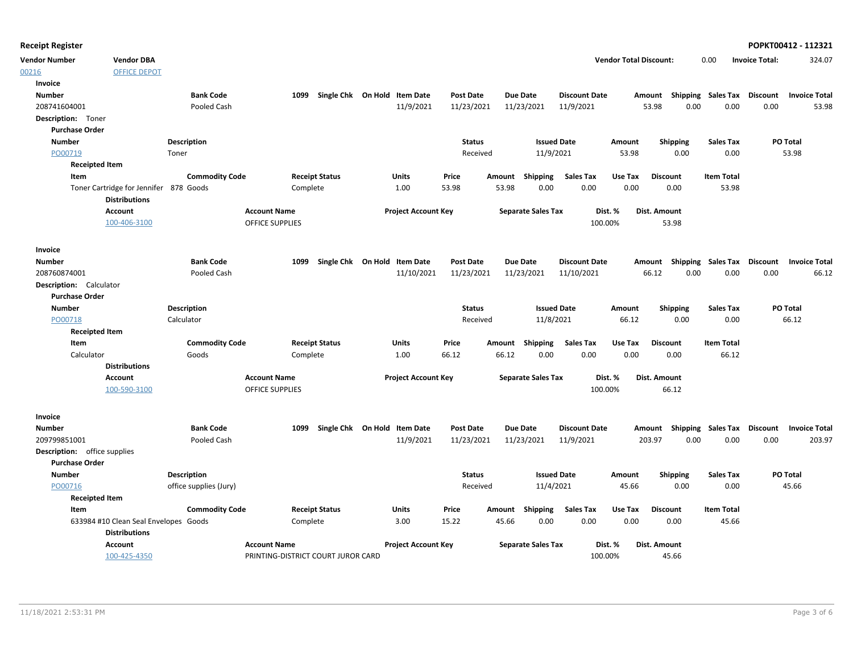| <b>Receipt Register</b>      |                                        |                        |                        |                                    |                              |                  |                 |                           |                      |                               |                                    |                   |                       | POPKT00412 - 112321  |
|------------------------------|----------------------------------------|------------------------|------------------------|------------------------------------|------------------------------|------------------|-----------------|---------------------------|----------------------|-------------------------------|------------------------------------|-------------------|-----------------------|----------------------|
| <b>Vendor Number</b>         | <b>Vendor DBA</b>                      |                        |                        |                                    |                              |                  |                 |                           |                      | <b>Vendor Total Discount:</b> |                                    | 0.00              | <b>Invoice Total:</b> | 324.07               |
| 00216                        | <b>OFFICE DEPOT</b>                    |                        |                        |                                    |                              |                  |                 |                           |                      |                               |                                    |                   |                       |                      |
| Invoice                      |                                        |                        |                        |                                    |                              |                  |                 |                           |                      |                               |                                    |                   |                       |                      |
| <b>Number</b>                |                                        | <b>Bank Code</b>       |                        | 1099                               | Single Chk On Hold Item Date | <b>Post Date</b> | <b>Due Date</b> |                           | <b>Discount Date</b> |                               | Amount Shipping Sales Tax Discount |                   |                       | <b>Invoice Total</b> |
| 208741604001                 |                                        | Pooled Cash            |                        |                                    | 11/9/2021                    | 11/23/2021       | 11/23/2021      |                           | 11/9/2021            |                               | 53.98<br>0.00                      | 0.00              | 0.00                  | 53.98                |
| Description: Toner           |                                        |                        |                        |                                    |                              |                  |                 |                           |                      |                               |                                    |                   |                       |                      |
| <b>Purchase Order</b>        |                                        |                        |                        |                                    |                              |                  |                 |                           |                      |                               |                                    |                   |                       |                      |
| <b>Number</b>                |                                        | Description            |                        |                                    |                              | <b>Status</b>    |                 | <b>Issued Date</b>        |                      | Amount                        | <b>Shipping</b>                    | <b>Sales Tax</b>  |                       | PO Total             |
| PO00719                      |                                        | Toner                  |                        |                                    |                              | Received         |                 | 11/9/2021                 |                      | 53.98                         | 0.00                               | 0.00              |                       | 53.98                |
| <b>Receipted Item</b>        |                                        |                        |                        |                                    |                              |                  |                 |                           |                      |                               |                                    |                   |                       |                      |
| Item                         |                                        | <b>Commodity Code</b>  |                        | <b>Receipt Status</b>              | Units                        | Price            | Amount Shipping |                           | <b>Sales Tax</b>     | Use Tax                       | <b>Discount</b>                    | <b>Item Total</b> |                       |                      |
|                              | Toner Cartridge for Jennifer 878 Goods |                        |                        | Complete                           | 1.00                         | 53.98            | 53.98           | 0.00                      | 0.00                 | 0.00                          | 0.00                               | 53.98             |                       |                      |
|                              | <b>Distributions</b>                   |                        |                        |                                    |                              |                  |                 |                           |                      |                               |                                    |                   |                       |                      |
|                              | Account                                |                        | <b>Account Name</b>    |                                    | <b>Project Account Key</b>   |                  |                 | <b>Separate Sales Tax</b> |                      | Dist. %                       | Dist. Amount                       |                   |                       |                      |
|                              | 100-406-3100                           |                        | <b>OFFICE SUPPLIES</b> |                                    |                              |                  |                 |                           | 100.00%              |                               | 53.98                              |                   |                       |                      |
| Invoice                      |                                        |                        |                        |                                    |                              |                  |                 |                           |                      |                               |                                    |                   |                       |                      |
| <b>Number</b>                |                                        | <b>Bank Code</b>       |                        | 1099                               | Single Chk On Hold Item Date | <b>Post Date</b> | <b>Due Date</b> |                           | <b>Discount Date</b> |                               | Amount Shipping Sales Tax Discount |                   |                       | <b>Invoice Total</b> |
| 208760874001                 |                                        | Pooled Cash            |                        |                                    | 11/10/2021                   | 11/23/2021       | 11/23/2021      |                           | 11/10/2021           |                               | 66.12<br>0.00                      | 0.00              | 0.00                  | 66.12                |
| Description: Calculator      |                                        |                        |                        |                                    |                              |                  |                 |                           |                      |                               |                                    |                   |                       |                      |
| <b>Purchase Order</b>        |                                        |                        |                        |                                    |                              |                  |                 |                           |                      |                               |                                    |                   |                       |                      |
| <b>Number</b>                |                                        | <b>Description</b>     |                        |                                    |                              | <b>Status</b>    |                 | <b>Issued Date</b>        |                      | Amount                        | <b>Shipping</b>                    | <b>Sales Tax</b>  |                       | PO Total             |
| PO00718                      |                                        | Calculator             |                        |                                    |                              | Received         |                 | 11/8/2021                 |                      | 66.12                         | 0.00                               | 0.00              |                       | 66.12                |
| <b>Receipted Item</b>        |                                        |                        |                        |                                    |                              |                  |                 |                           |                      |                               |                                    |                   |                       |                      |
| Item                         |                                        | <b>Commodity Code</b>  |                        | <b>Receipt Status</b>              | <b>Units</b>                 | Price            | Amount Shipping |                           | <b>Sales Tax</b>     | Use Tax                       | <b>Discount</b>                    | <b>Item Total</b> |                       |                      |
| Calculator                   |                                        | Goods                  |                        | Complete                           | 1.00                         | 66.12            | 66.12           | 0.00                      | 0.00                 | 0.00                          | 0.00                               | 66.12             |                       |                      |
|                              | <b>Distributions</b>                   |                        |                        |                                    |                              |                  |                 |                           |                      |                               |                                    |                   |                       |                      |
|                              | <b>Account</b>                         |                        | <b>Account Name</b>    |                                    | <b>Project Account Key</b>   |                  |                 | <b>Separate Sales Tax</b> |                      | Dist. %                       | <b>Dist. Amount</b>                |                   |                       |                      |
|                              | 100-590-3100                           |                        | <b>OFFICE SUPPLIES</b> |                                    |                              |                  |                 |                           | 100.00%              |                               | 66.12                              |                   |                       |                      |
| Invoice                      |                                        |                        |                        |                                    |                              |                  |                 |                           |                      |                               |                                    |                   |                       |                      |
| <b>Number</b>                |                                        | <b>Bank Code</b>       |                        | 1099                               | Single Chk On Hold Item Date | Post Date        | <b>Due Date</b> |                           | <b>Discount Date</b> |                               | Amount Shipping Sales Tax Discount |                   |                       | <b>Invoice Total</b> |
| 209799851001                 |                                        | Pooled Cash            |                        |                                    | 11/9/2021                    | 11/23/2021       | 11/23/2021      |                           | 11/9/2021            | 203.97                        | 0.00                               | 0.00              | 0.00                  | 203.97               |
| Description: office supplies |                                        |                        |                        |                                    |                              |                  |                 |                           |                      |                               |                                    |                   |                       |                      |
| <b>Purchase Order</b>        |                                        |                        |                        |                                    |                              |                  |                 |                           |                      |                               |                                    |                   |                       |                      |
| <b>Number</b>                |                                        | <b>Description</b>     |                        |                                    |                              | <b>Status</b>    |                 | <b>Issued Date</b>        |                      | Amount                        | <b>Shipping</b>                    | <b>Sales Tax</b>  |                       | PO Total             |
| PO00716                      |                                        | office supplies (Jury) |                        |                                    |                              | Received         |                 | 11/4/2021                 |                      | 45.66                         | 0.00                               | 0.00              |                       | 45.66                |
| <b>Receipted Item</b>        |                                        |                        |                        |                                    |                              |                  |                 |                           |                      |                               |                                    |                   |                       |                      |
| Item                         |                                        | <b>Commodity Code</b>  |                        | <b>Receipt Status</b>              | Units                        | Price            | Amount          | Shipping                  | <b>Sales Tax</b>     | Use Tax                       | <b>Discount</b>                    | <b>Item Total</b> |                       |                      |
|                              | 633984 #10 Clean Seal Envelopes Goods  |                        |                        | Complete                           | 3.00                         | 15.22            | 45.66           | 0.00                      | 0.00                 | 0.00                          | 0.00                               | 45.66             |                       |                      |
|                              | <b>Distributions</b>                   |                        |                        |                                    |                              |                  |                 |                           |                      |                               |                                    |                   |                       |                      |
|                              | Account                                |                        | <b>Account Name</b>    |                                    | <b>Project Account Key</b>   |                  |                 | <b>Separate Sales Tax</b> |                      | Dist. %                       | Dist. Amount                       |                   |                       |                      |
|                              | 100-425-4350                           |                        |                        | PRINTING-DISTRICT COURT JUROR CARD |                              |                  |                 |                           | 100.00%              |                               | 45.66                              |                   |                       |                      |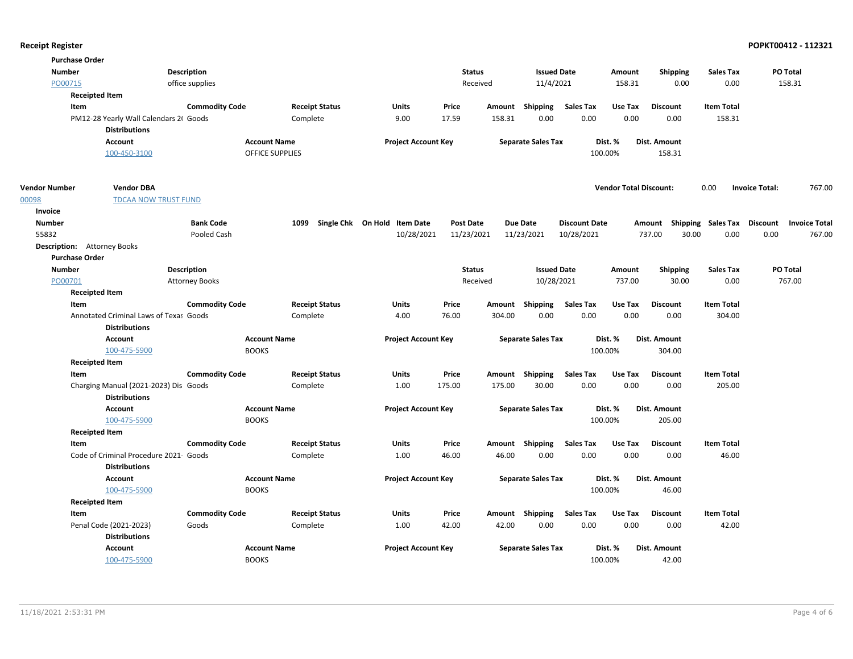|                      | <b>Purchase Order</b>                                         |                       |                     |                       |                              |                  |               |                           |                      |                               |                     |                                    |                                 |
|----------------------|---------------------------------------------------------------|-----------------------|---------------------|-----------------------|------------------------------|------------------|---------------|---------------------------|----------------------|-------------------------------|---------------------|------------------------------------|---------------------------------|
| <b>Number</b>        |                                                               | <b>Description</b>    |                     |                       |                              |                  | <b>Status</b> | <b>Issued Date</b>        |                      | Amount                        | <b>Shipping</b>     | <b>Sales Tax</b>                   | PO Total                        |
| PO00715              |                                                               | office supplies       |                     |                       |                              |                  | Received      | 11/4/2021                 |                      | 158.31                        | 0.00                | 0.00                               | 158.31                          |
|                      | <b>Receipted Item</b>                                         |                       |                     |                       |                              |                  |               |                           |                      |                               |                     |                                    |                                 |
|                      | Item                                                          | <b>Commodity Code</b> |                     | <b>Receipt Status</b> | <b>Units</b>                 | Price            |               | Amount Shipping           | <b>Sales Tax</b>     | Use Tax                       | <b>Discount</b>     | <b>Item Total</b>                  |                                 |
|                      | PM12-28 Yearly Wall Calendars 21 Goods                        |                       | Complete            |                       | 9.00                         | 17.59            | 158.31        | 0.00                      | 0.00                 | 0.00                          | 0.00                | 158.31                             |                                 |
|                      | <b>Distributions</b>                                          |                       |                     |                       |                              |                  |               |                           |                      |                               |                     |                                    |                                 |
|                      | Account                                                       |                       | <b>Account Name</b> |                       | <b>Project Account Key</b>   |                  |               | <b>Separate Sales Tax</b> |                      | Dist. %                       | Dist. Amount        |                                    |                                 |
|                      | 100-450-3100                                                  |                       | OFFICE SUPPLIES     |                       |                              |                  |               |                           |                      | 100.00%                       | 158.31              |                                    |                                 |
| <b>Vendor Number</b> | <b>Vendor DBA</b>                                             |                       |                     |                       |                              |                  |               |                           |                      | <b>Vendor Total Discount:</b> |                     | 0.00                               | <b>Invoice Total:</b><br>767.00 |
| 00098                | <b>TDCAA NOW TRUST FUND</b>                                   |                       |                     |                       |                              |                  |               |                           |                      |                               |                     |                                    |                                 |
| Invoice              |                                                               |                       |                     |                       |                              |                  |               |                           |                      |                               |                     |                                    |                                 |
| <b>Number</b>        |                                                               | <b>Bank Code</b>      | 1099                |                       | Single Chk On Hold Item Date | <b>Post Date</b> |               | <b>Due Date</b>           | <b>Discount Date</b> |                               |                     | Amount Shipping Sales Tax Discount | <b>Invoice Total</b>            |
| 55832                |                                                               | Pooled Cash           |                     |                       | 10/28/2021                   | 11/23/2021       |               | 11/23/2021                | 10/28/2021           |                               | 737.00              | 30.00<br>0.00                      | 0.00<br>767.00                  |
|                      | <b>Description:</b> Attorney Books                            |                       |                     |                       |                              |                  |               |                           |                      |                               |                     |                                    |                                 |
|                      | <b>Purchase Order</b>                                         |                       |                     |                       |                              |                  |               |                           |                      |                               |                     |                                    |                                 |
| <b>Number</b>        |                                                               | <b>Description</b>    |                     |                       |                              | <b>Status</b>    |               | <b>Issued Date</b>        |                      | Amount                        | <b>Shipping</b>     | <b>Sales Tax</b>                   | PO Total                        |
| PO00701              |                                                               | <b>Attorney Books</b> |                     |                       |                              |                  | Received      | 10/28/2021                |                      | 737.00                        | 30.00               | 0.00                               | 767.00                          |
|                      | <b>Receipted Item</b>                                         |                       |                     |                       |                              |                  |               |                           |                      |                               |                     |                                    |                                 |
|                      | Item                                                          | <b>Commodity Code</b> |                     | <b>Receipt Status</b> | <b>Units</b>                 | Price            |               | Amount Shipping           | <b>Sales Tax</b>     | Use Tax                       | <b>Discount</b>     | <b>Item Total</b>                  |                                 |
|                      | Annotated Criminal Laws of Texas Goods                        |                       | Complete            |                       | 4.00                         | 76.00            | 304.00        | 0.00                      | 0.00                 | 0.00                          | 0.00                | 304.00                             |                                 |
|                      | <b>Distributions</b>                                          |                       |                     |                       |                              |                  |               |                           |                      |                               |                     |                                    |                                 |
|                      | Account                                                       |                       | <b>Account Name</b> |                       | <b>Project Account Key</b>   |                  |               | <b>Separate Sales Tax</b> |                      | Dist. %                       | <b>Dist. Amount</b> |                                    |                                 |
|                      | 100-475-5900                                                  |                       | <b>BOOKS</b>        |                       |                              |                  |               |                           |                      | 100.00%                       | 304.00              |                                    |                                 |
|                      | <b>Receipted Item</b>                                         |                       |                     |                       |                              |                  |               |                           |                      |                               |                     |                                    |                                 |
|                      | Item                                                          | <b>Commodity Code</b> |                     | <b>Receipt Status</b> | Units                        | Price            |               | Amount Shipping           | Sales Tax            | Use Tax                       | <b>Discount</b>     | <b>Item Total</b>                  |                                 |
|                      | Charging Manual (2021-2023) Dis Goods<br><b>Distributions</b> |                       | Complete            |                       | 1.00                         | 175.00           | 175.00        | 30.00                     | 0.00                 | 0.00                          | 0.00                | 205.00                             |                                 |
|                      | Account                                                       |                       | <b>Account Name</b> |                       | <b>Project Account Key</b>   |                  |               | <b>Separate Sales Tax</b> |                      | Dist. %                       | Dist. Amount        |                                    |                                 |
|                      | 100-475-5900                                                  |                       | <b>BOOKS</b>        |                       |                              |                  |               |                           |                      | 100.00%                       | 205.00              |                                    |                                 |
|                      | <b>Receipted Item</b>                                         |                       |                     |                       |                              |                  |               |                           |                      |                               |                     |                                    |                                 |
|                      | Item                                                          | <b>Commodity Code</b> |                     | <b>Receipt Status</b> | Units                        | Price            |               | Amount Shipping           | Sales Tax            | Use Tax                       | <b>Discount</b>     | <b>Item Total</b>                  |                                 |
|                      | Code of Criminal Procedure 2021 Goods                         |                       | Complete            |                       | 1.00                         | 46.00            | 46.00         | 0.00                      | 0.00                 | 0.00                          | 0.00                | 46.00                              |                                 |
|                      | <b>Distributions</b>                                          |                       |                     |                       |                              |                  |               |                           |                      |                               |                     |                                    |                                 |
|                      | <b>Account</b>                                                |                       | <b>Account Name</b> |                       | <b>Project Account Key</b>   |                  |               | <b>Separate Sales Tax</b> |                      | Dist. %                       | Dist. Amount        |                                    |                                 |
|                      | 100-475-5900                                                  |                       | <b>BOOKS</b>        |                       |                              |                  |               |                           |                      | 100.00%                       | 46.00               |                                    |                                 |
|                      | <b>Receipted Item</b>                                         |                       |                     |                       |                              |                  |               |                           |                      |                               |                     |                                    |                                 |
|                      | Item                                                          | <b>Commodity Code</b> |                     | <b>Receipt Status</b> | Units                        | Price            |               | Amount Shipping           | <b>Sales Tax</b>     | Use Tax                       | <b>Discount</b>     | <b>Item Total</b>                  |                                 |
|                      | Penal Code (2021-2023)                                        | Goods                 | Complete            |                       | 1.00                         | 42.00            | 42.00         | 0.00                      | 0.00                 | 0.00                          | 0.00                | 42.00                              |                                 |
|                      | <b>Distributions</b>                                          |                       |                     |                       |                              |                  |               |                           |                      |                               |                     |                                    |                                 |
|                      | <b>Account</b>                                                |                       | <b>Account Name</b> |                       | <b>Project Account Key</b>   |                  |               | <b>Separate Sales Tax</b> |                      | Dist. %                       | Dist. Amount        |                                    |                                 |
|                      | 100-475-5900                                                  |                       | <b>BOOKS</b>        |                       |                              |                  |               |                           |                      | 100.00%                       | 42.00               |                                    |                                 |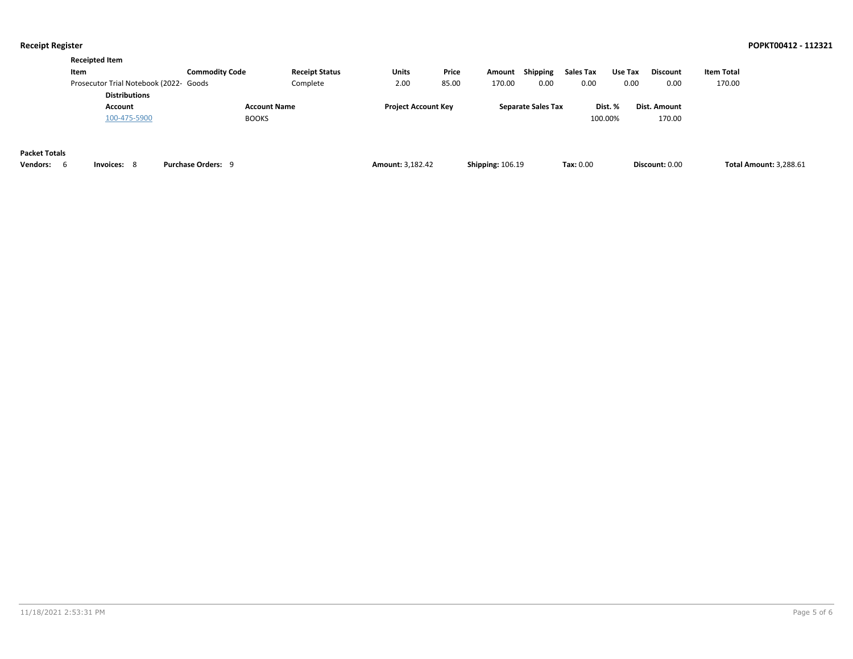**Discount:** 0.00

|                      | <b>Receipted Item</b>                                          |                       |                       |                            |       |        |                           |           |         |                 |            |
|----------------------|----------------------------------------------------------------|-----------------------|-----------------------|----------------------------|-------|--------|---------------------------|-----------|---------|-----------------|------------|
|                      | Item                                                           | <b>Commodity Code</b> | <b>Receipt Status</b> | Units                      | Price | Amount | Shipping                  | Sales Tax | Use Tax | <b>Discount</b> | Item Total |
|                      | Prosecutor Trial Notebook (2022- Goods<br><b>Distributions</b> |                       | Complete              | 2.00                       | 85.00 | 170.00 | 0.00                      | 0.00      | 0.00    | 0.00            | 170.00     |
|                      | Account                                                        | <b>Account Name</b>   |                       | <b>Project Account Key</b> |       |        | <b>Separate Sales Tax</b> |           | Dist. % | Dist. Amount    |            |
|                      | 100-475-5900                                                   | <b>BOOKS</b>          |                       |                            |       |        |                           | 100.00%   |         | 170.00          |            |
|                      |                                                                |                       |                       |                            |       |        |                           |           |         |                 |            |
|                      |                                                                |                       |                       |                            |       |        |                           |           |         |                 |            |
| <b>Packet Totals</b> |                                                                |                       |                       |                            |       |        |                           |           |         |                 |            |

| rachet Tulais |  |
|---------------|--|
|               |  |

**Vendors:** 6 **Invoices:** 8 **Purchase Orders:** 9 **Amount:** 3,182.42 **Shipping:** 106.19 **Tax:** 0.00 **Total Amount:** 3,288.61